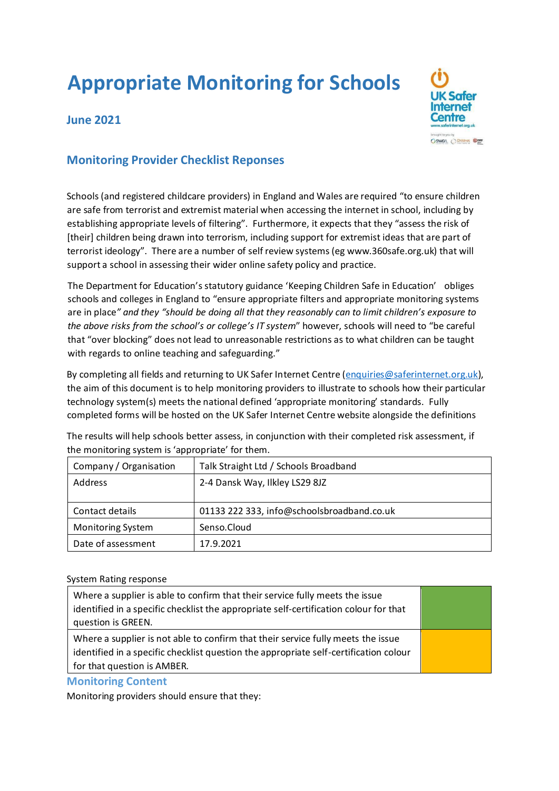# **Appropriate Monitoring for Schools**

### **June 2021**



## **Monitoring Provider Checklist Reponses**

Schools (and registered childcare providers) in England and Wales are required "to ensure children are safe from terrorist and extremist material when accessing the internet in school, including by establishing appropriate levels of filtering". Furthermore, it expects that they "assess the risk of [their] children being drawn into terrorism, including support for extremist ideas that are part of terrorist ideology". There are a number of self review systems (eg www.360safe.org.uk) that will support a school in assessing their wider online safety policy and practice.

The Department for Education's statutory guidance 'Keeping Children Safe in Education' obliges schools and colleges in England to "ensure appropriate filters and appropriate monitoring systems are in place*" and they "should be doing all that they reasonably can to limit children's exposure to the above risks from the school's or college's IT system*" however, schools will need to "be careful that "over blocking" does not lead to unreasonable restrictions as to what children can be taught with regards to online teaching and safeguarding."

By completing all fields and returning to UK Safer Internet Centre (enquiries@saferinternet.org.uk), the aim of this document is to help monitoring providers to illustrate to schools how their particular technology system(s) meets the national defined 'appropriate monitoring' standards. Fully completed forms will be hosted on the UK Safer Internet Centre website alongside the definitions

The results will help schools better assess, in conjunction with their completed risk assessment, if the monitoring system is 'appropriate' for them.

| Company / Organisation   | Talk Straight Ltd / Schools Broadband      |
|--------------------------|--------------------------------------------|
| Address                  | 2-4 Dansk Way, Ilkley LS29 8JZ             |
|                          |                                            |
| Contact details          | 01133 222 333, info@schoolsbroadband.co.uk |
| <b>Monitoring System</b> | Senso.Cloud                                |
| Date of assessment       | 17.9.2021                                  |

#### System Rating response

| Where a supplier is able to confirm that their service fully meets the issue<br>identified in a specific checklist the appropriate self-certification colour for that<br>question is GREEN.              |  |
|----------------------------------------------------------------------------------------------------------------------------------------------------------------------------------------------------------|--|
| Where a supplier is not able to confirm that their service fully meets the issue<br>identified in a specific checklist question the appropriate self-certification colour<br>for that question is AMBER. |  |

#### **Monitoring Content**

Monitoring providers should ensure that they: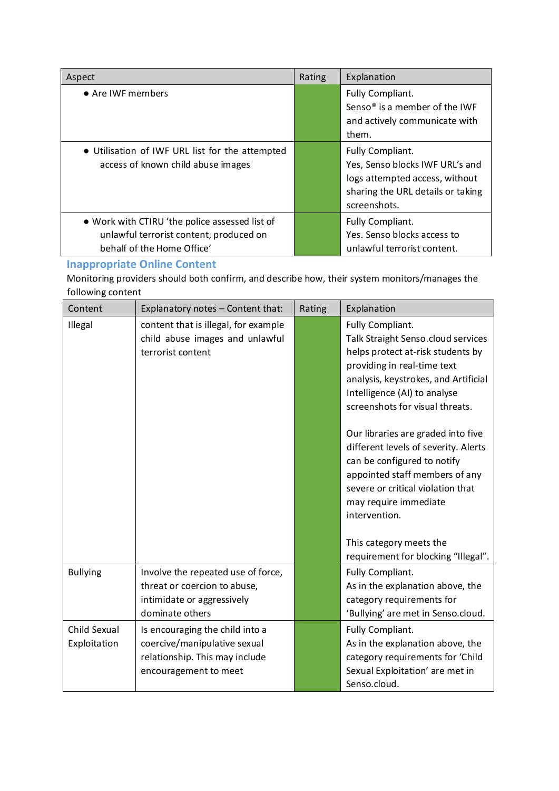| Aspect                                                                                                                  | Rating | Explanation                                                                                                                                |
|-------------------------------------------------------------------------------------------------------------------------|--------|--------------------------------------------------------------------------------------------------------------------------------------------|
| • Are IWF members                                                                                                       |        | Fully Compliant.<br>Senso <sup>®</sup> is a member of the IWF<br>and actively communicate with<br>them.                                    |
| • Utilisation of IWF URL list for the attempted<br>access of known child abuse images                                   |        | Fully Compliant.<br>Yes, Senso blocks IWF URL's and<br>logs attempted access, without<br>sharing the URL details or taking<br>screenshots. |
| • Work with CTIRU 'the police assessed list of<br>unlawful terrorist content, produced on<br>behalf of the Home Office' |        | Fully Compliant.<br>Yes. Senso blocks access to<br>unlawful terrorist content.                                                             |

# **Inappropriate Online Content**

Monitoring providers should both confirm, and describe how, their system monitors/manages the following content

| Content                      | Explanatory notes - Content that:                                                                                          | Rating | Explanation                                                                                                                                                                                                                                                                                                                                                                                                                                                         |
|------------------------------|----------------------------------------------------------------------------------------------------------------------------|--------|---------------------------------------------------------------------------------------------------------------------------------------------------------------------------------------------------------------------------------------------------------------------------------------------------------------------------------------------------------------------------------------------------------------------------------------------------------------------|
| Illegal                      | content that is illegal, for example<br>child abuse images and unlawful<br>terrorist content                               |        | Fully Compliant.<br>Talk Straight Senso.cloud services<br>helps protect at-risk students by<br>providing in real-time text<br>analysis, keystrokes, and Artificial<br>Intelligence (AI) to analyse<br>screenshots for visual threats.<br>Our libraries are graded into five<br>different levels of severity. Alerts<br>can be configured to notify<br>appointed staff members of any<br>severe or critical violation that<br>may require immediate<br>intervention. |
|                              |                                                                                                                            |        | This category meets the<br>requirement for blocking "Illegal".                                                                                                                                                                                                                                                                                                                                                                                                      |
| <b>Bullying</b>              | Involve the repeated use of force,<br>threat or coercion to abuse,<br>intimidate or aggressively<br>dominate others        |        | Fully Compliant.<br>As in the explanation above, the<br>category requirements for<br>'Bullying' are met in Senso.cloud.                                                                                                                                                                                                                                                                                                                                             |
| Child Sexual<br>Exploitation | Is encouraging the child into a<br>coercive/manipulative sexual<br>relationship. This may include<br>encouragement to meet |        | Fully Compliant.<br>As in the explanation above, the<br>category requirements for 'Child<br>Sexual Exploitation' are met in<br>Senso.cloud.                                                                                                                                                                                                                                                                                                                         |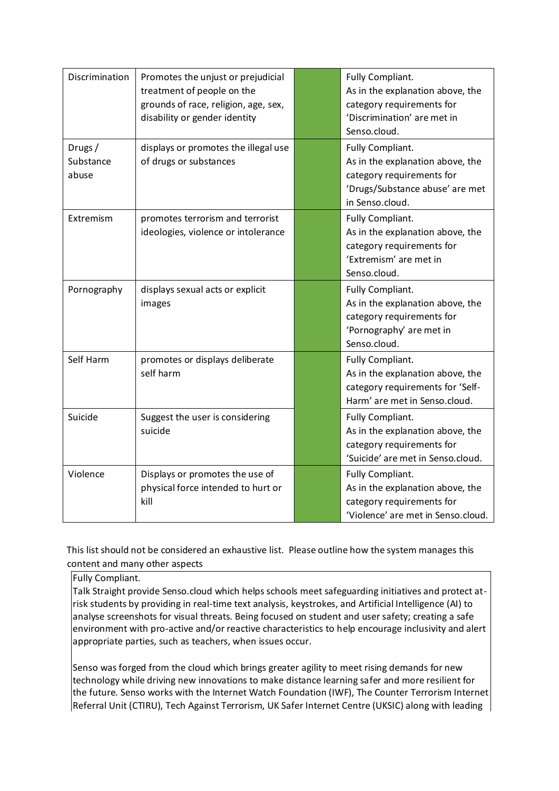| Discrimination               | Promotes the unjust or prejudicial<br>treatment of people on the<br>grounds of race, religion, age, sex,<br>disability or gender identity | Fully Compliant.<br>As in the explanation above, the<br>category requirements for<br>'Discrimination' are met in<br>Senso.cloud.        |
|------------------------------|-------------------------------------------------------------------------------------------------------------------------------------------|-----------------------------------------------------------------------------------------------------------------------------------------|
| Drugs/<br>Substance<br>abuse | displays or promotes the illegal use<br>of drugs or substances                                                                            | Fully Compliant.<br>As in the explanation above, the<br>category requirements for<br>'Drugs/Substance abuse' are met<br>in Senso.cloud. |
| Extremism                    | promotes terrorism and terrorist<br>ideologies, violence or intolerance                                                                   | Fully Compliant.<br>As in the explanation above, the<br>category requirements for<br>'Extremism' are met in<br>Senso.cloud.             |
| Pornography                  | displays sexual acts or explicit<br>images                                                                                                | Fully Compliant.<br>As in the explanation above, the<br>category requirements for<br>'Pornography' are met in<br>Senso.cloud.           |
| Self Harm                    | promotes or displays deliberate<br>self harm                                                                                              | Fully Compliant.<br>As in the explanation above, the<br>category requirements for 'Self-<br>Harm' are met in Senso.cloud.               |
| Suicide                      | Suggest the user is considering<br>suicide                                                                                                | Fully Compliant.<br>As in the explanation above, the<br>category requirements for<br>'Suicide' are met in Senso.cloud.                  |
| Violence                     | Displays or promotes the use of<br>physical force intended to hurt or<br>kill                                                             | Fully Compliant.<br>As in the explanation above, the<br>category requirements for<br>'Violence' are met in Senso.cloud.                 |

This list should not be considered an exhaustive list. Please outline how the system manages this content and many other aspects

Fully Compliant.

Talk Straight provide Senso.cloud which helps schools meet safeguarding initiatives and protect atrisk students by providing in real-time text analysis, keystrokes, and Artificial Intelligence (AI) to analyse screenshots for visual threats. Being focused on student and user safety; creating a safe environment with pro-active and/or reactive characteristics to help encourage inclusivity and alert appropriate parties, such as teachers, when issues occur.

Senso was forged from the cloud which brings greater agility to meet rising demands for new technology while driving new innovations to make distance learning safer and more resilient for the future. Senso works with the Internet Watch Foundation (IWF), The Counter Terrorism Internet Referral Unit (CTIRU), Tech Against Terrorism, UK Safer Internet Centre (UKSIC) along with leading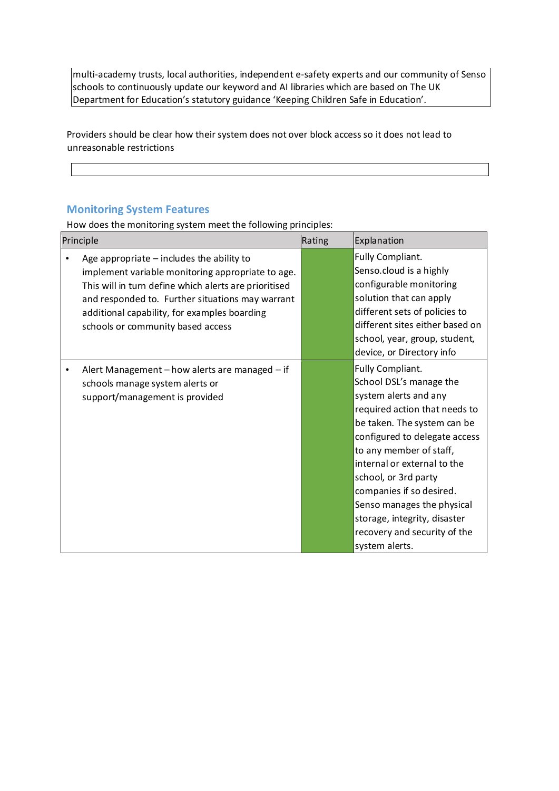multi-academy trusts, local authorities, independent e-safety experts and our community of Senso schools to continuously update our keyword and AI libraries which are based on The UK Department for Education's statutory guidance 'Keeping Children Safe in Education'.

Providers should be clear how their system does not over block access so it does not lead to unreasonable restrictions

#### **Monitoring System Features**

How does the monitoring system meet the following principles:

| Principle                                                                                                                                                                                                                                                                                          | Rating | Explanation                                                                                                                                                                                                                                                                                                                                                                                         |
|----------------------------------------------------------------------------------------------------------------------------------------------------------------------------------------------------------------------------------------------------------------------------------------------------|--------|-----------------------------------------------------------------------------------------------------------------------------------------------------------------------------------------------------------------------------------------------------------------------------------------------------------------------------------------------------------------------------------------------------|
| Age appropriate $-$ includes the ability to<br>implement variable monitoring appropriate to age.<br>This will in turn define which alerts are prioritised<br>and responded to. Further situations may warrant<br>additional capability, for examples boarding<br>schools or community based access |        | Fully Compliant.<br>Senso.cloud is a highly<br>configurable monitoring<br>solution that can apply<br>different sets of policies to<br>different sites either based on<br>school, year, group, student,<br>device, or Directory info                                                                                                                                                                 |
| Alert Management - how alerts are managed - if<br>schools manage system alerts or<br>support/management is provided                                                                                                                                                                                |        | Fully Compliant.<br>School DSL's manage the<br>system alerts and any<br>required action that needs to<br>be taken. The system can be<br>configured to delegate access<br>to any member of staff,<br>internal or external to the<br>school, or 3rd party<br>companies if so desired.<br>Senso manages the physical<br>storage, integrity, disaster<br>recovery and security of the<br>system alerts. |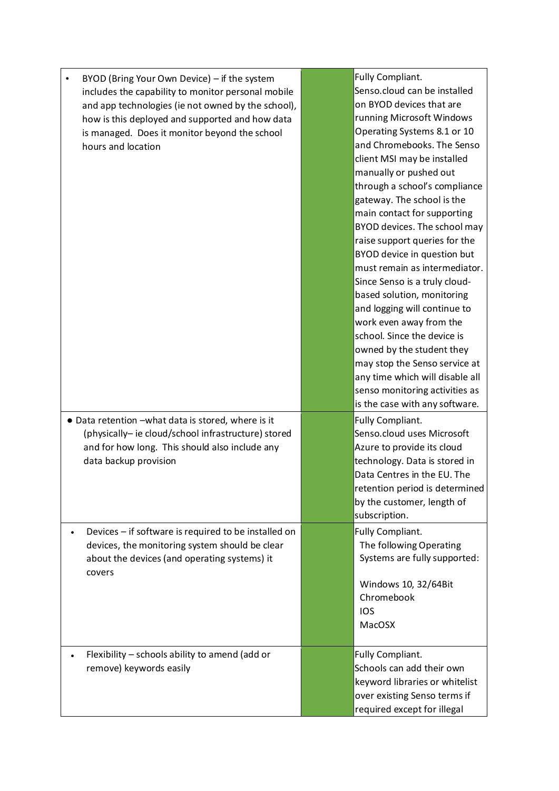• BYOD (Bring Your Own Device) – if the system includes the capability to monitor personal mobile and app technologies (ie not owned by the school), how is this deployed and supported and how data is managed. Does it monitor beyond the school hours and location

- Data retention –what data is stored, where is it (physically– ie cloud/school infrastructure) stored and for how long. This should also include any data backup provision
- Devices if software is required to be installed on devices, the monitoring system should be clear about the devices (and operating systems) it covers
- Flexibility schools ability to amend (add or remove) keywords easily

Fully Compliant. Senso.cloud can be installed on BYOD devices that are running Microsoft Windows Operating Systems 8.1 or 10 and Chromebooks. The Senso client MSI may be installed manually or pushed out through a school's compliance gateway. The school is the main contact for supporting BYOD devices. The school may raise support queries for the BYOD device in question but must remain as intermediator. Since Senso is a truly cloudbased solution, monitoring and logging will continue to work even away from the school. Since the device is owned by the student they may stop the Senso service at any time which will disable all senso monitoring activities as is the case with any software. Fully Compliant. Senso.cloud uses Microsoft Azure to provide its cloud technology. Data is stored in Data Centres in the EU. The retention period is determined by the customer, length of subscription. Fully Compliant. The following Operating Systems are fully supported: Windows 10, 32/64Bit

Chromebook IOS MacOSX

Fully Compliant. Schools can add their own keyword libraries or whitelist over existing Senso terms if required except for illegal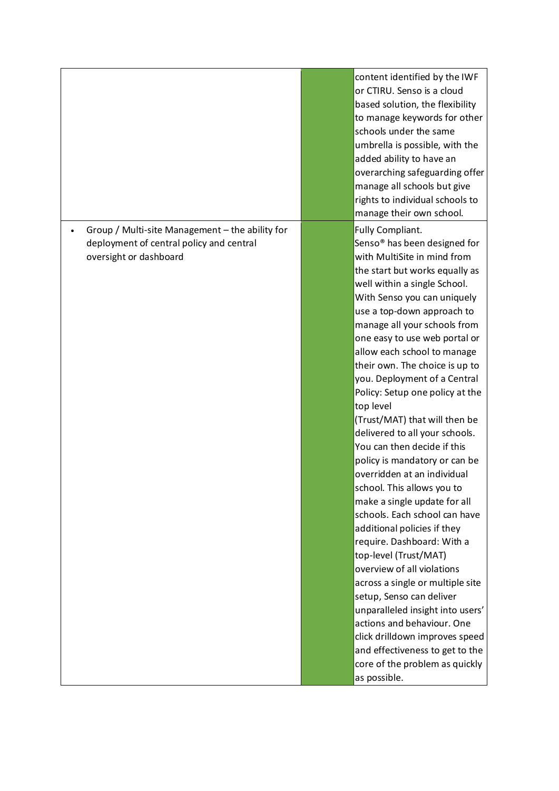• Group / Multi-site Management – the ability for deployment of central policy and central oversight or dashboard

content identified by the IWF or CTIRU. Senso is a cloud based solution, the flexibility to manage keywords for other schools under the same umbrella is possible, with the added ability to have an overarching safeguarding offer manage all schools but give rights to individual schools to manage their own school. Fully Compliant.

Senso® has been designed for with MultiSite in mind from the start but works equally as well within a single School. With Senso you can uniquely use a top-down approach to manage all your schools from one easy to use web portal or allow each school to manage their own. The choice is up to you. Deployment of a Central Policy: Setup one policy at the top level

(Trust/MAT) that will then be delivered to all your schools. You can then decide if this policy is mandatory or can be overridden at an individual school. This allows you to make a single update for all schools. Each school can have additional policies if they require. Dashboard: With a top-level (Trust/MAT) overview of all violations across a single or multiple site setup, Senso can deliver unparalleled insight into users' actions and behaviour. One click drilldown improves speed and effectiveness to get to the core of the problem as quickly as possible.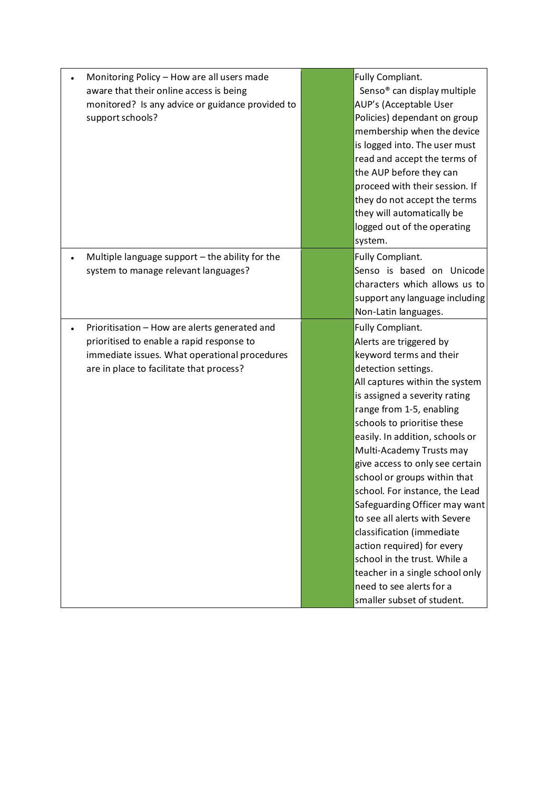| Monitoring Policy - How are all users made<br>aware that their online access is being<br>monitored? Is any advice or guidance provided to<br>support schools?                           | Fully Compliant.<br>Senso <sup>®</sup> can display multiple<br>AUP's (Acceptable User<br>Policies) dependant on group<br>membership when the device<br>is logged into. The user must<br>read and accept the terms of<br>the AUP before they can<br>proceed with their session. If<br>they do not accept the terms<br>they will automatically be<br>logged out of the operating<br>system.                                                                                                                                                                                                                                                                 |
|-----------------------------------------------------------------------------------------------------------------------------------------------------------------------------------------|-----------------------------------------------------------------------------------------------------------------------------------------------------------------------------------------------------------------------------------------------------------------------------------------------------------------------------------------------------------------------------------------------------------------------------------------------------------------------------------------------------------------------------------------------------------------------------------------------------------------------------------------------------------|
| Multiple language support - the ability for the<br>system to manage relevant languages?                                                                                                 | Fully Compliant.<br>Senso is based on Unicode<br>characters which allows us to<br>support any language including<br>Non-Latin languages.                                                                                                                                                                                                                                                                                                                                                                                                                                                                                                                  |
| Prioritisation - How are alerts generated and<br>prioritised to enable a rapid response to<br>immediate issues. What operational procedures<br>are in place to facilitate that process? | Fully Compliant.<br>Alerts are triggered by<br>keyword terms and their<br>detection settings.<br>All captures within the system<br>is assigned a severity rating<br>range from 1-5, enabling<br>schools to prioritise these<br>easily. In addition, schools or<br>Multi-Academy Trusts may<br>give access to only see certain<br>school or groups within that<br>school. For instance, the Lead<br>Safeguarding Officer may want<br>to see all alerts with Severe<br>classification (immediate<br>action required) for every<br>school in the trust. While a<br>teacher in a single school only<br>need to see alerts for a<br>smaller subset of student. |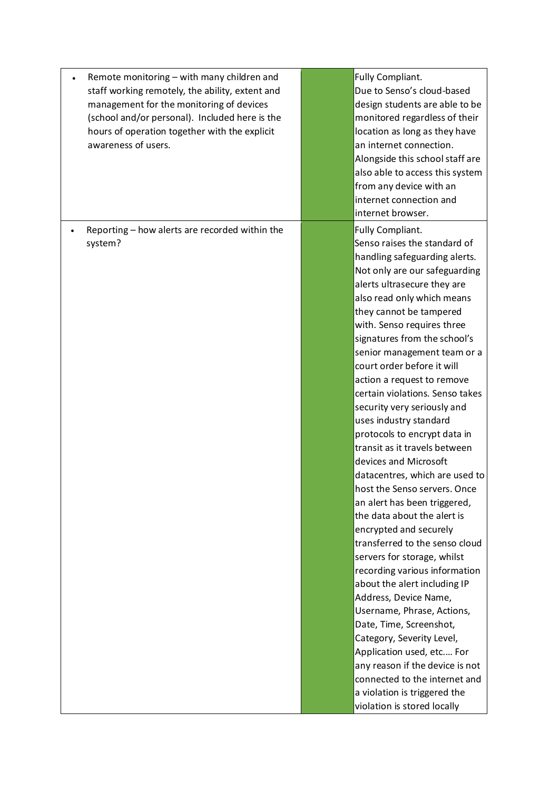• Remote monitoring – with many children and staff working remotely, the ability, extent and management for the monitoring of devices (school and/or personal). Included here is the hours of operation together with the explicit awareness of users.

• Reporting – how alerts are recorded within the system?

Fully Compliant. Due to Senso's cloud-based design students are able to be monitored regardless of their location as long as they have an internet connection. Alongside this school staff are also able to access this system from any device with an internet connection and internet browser. Fully Compliant. Senso raises the standard of handling safeguarding alerts. Not only are our safeguarding alerts ultrasecure they are also read only which means they cannot be tampered with. Senso requires three signatures from the school's senior management team or a court order before it will action a request to remove certain violations. Senso takes security very seriously and uses industry standard protocols to encrypt data in transit as it travels between devices and Microsoft datacentres, which are used to host the Senso servers. Once an alert has been triggered, the data about the alert is encrypted and securely transferred to the senso cloud servers for storage, whilst recording various information about the alert including IP Address, Device Name, Username, Phrase, Actions, Date, Time, Screenshot, Category, Severity Level, Application used, etc.… For any reason if the device is not connected to the internet and a violation is triggered the violation is stored locally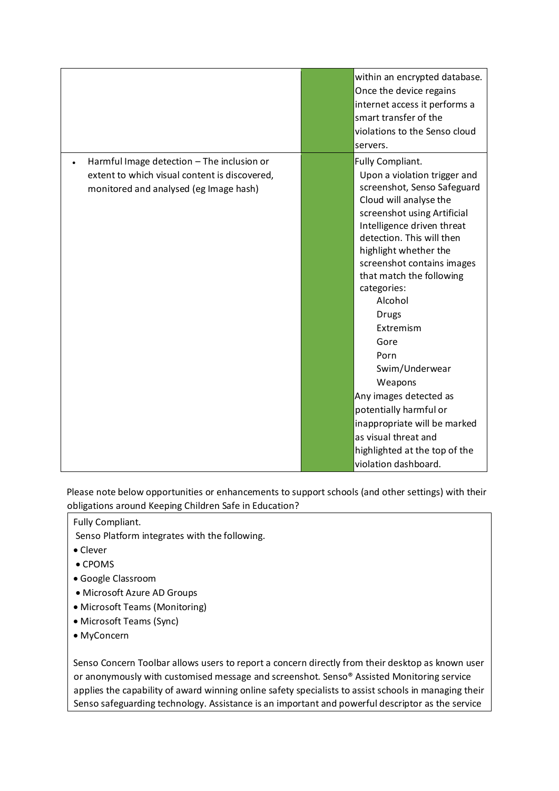|                                                                                                                                       | within an encrypted database.<br>Once the device regains<br>internet access it performs a<br>smart transfer of the<br>violations to the Senso cloud<br>servers.                                                                                                                                                                                                                                                                                                                                                                                                 |
|---------------------------------------------------------------------------------------------------------------------------------------|-----------------------------------------------------------------------------------------------------------------------------------------------------------------------------------------------------------------------------------------------------------------------------------------------------------------------------------------------------------------------------------------------------------------------------------------------------------------------------------------------------------------------------------------------------------------|
| Harmful Image detection - The inclusion or<br>extent to which visual content is discovered,<br>monitored and analysed (eg Image hash) | Fully Compliant.<br>Upon a violation trigger and<br>screenshot, Senso Safeguard<br>Cloud will analyse the<br>screenshot using Artificial<br>Intelligence driven threat<br>detection. This will then<br>highlight whether the<br>screenshot contains images<br>that match the following<br>categories:<br>Alcohol<br><b>Drugs</b><br>Extremism<br>Gore<br>Porn<br>Swim/Underwear<br>Weapons<br>Any images detected as<br>potentially harmful or<br>inappropriate will be marked<br>as visual threat and<br>highlighted at the top of the<br>violation dashboard. |

Please note below opportunities or enhancements to support schools (and other settings) with their obligations around Keeping Children Safe in Education?

#### Fully Compliant.

Senso Platform integrates with the following.

- Clever
- CPOMS
- Google Classroom
- Microsoft Azure AD Groups
- Microsoft Teams (Monitoring)
- Microsoft Teams (Sync)
- MyConcern

Senso Concern Toolbar allows users to report a concern directly from their desktop as known user or anonymously with customised message and screenshot. Senso® Assisted Monitoring service applies the capability of award winning online safety specialists to assist schools in managing their Senso safeguarding technology. Assistance is an important and powerful descriptor as the service